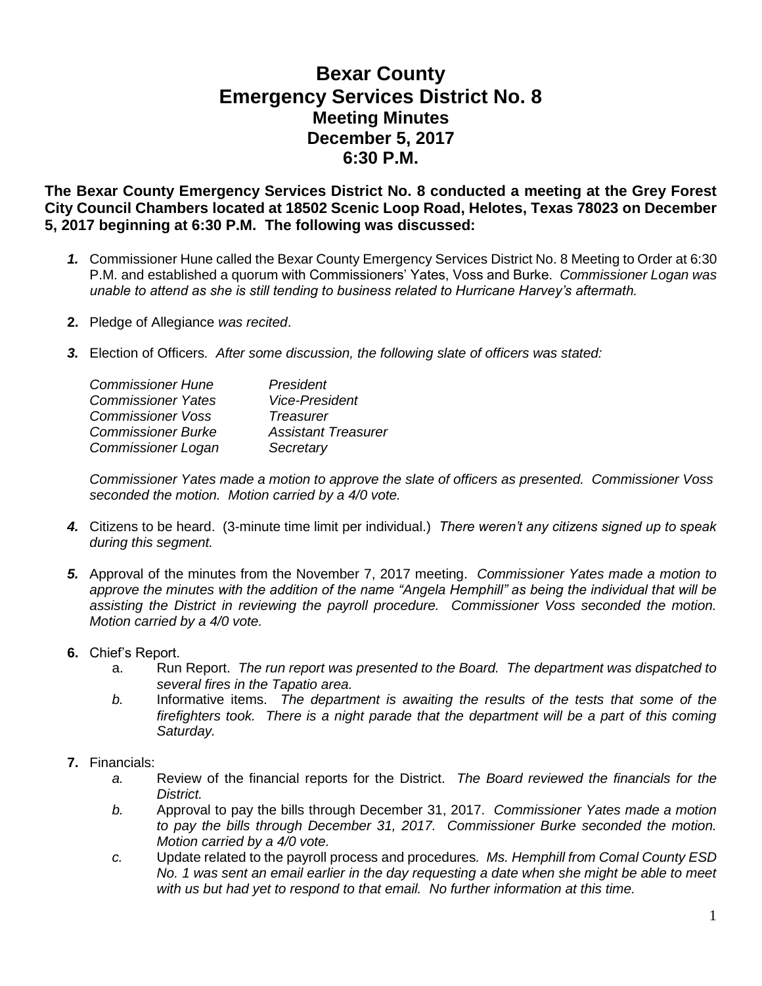## **Bexar County Emergency Services District No. 8 Meeting Minutes December 5, 2017 6:30 P.M.**

**The Bexar County Emergency Services District No. 8 conducted a meeting at the Grey Forest City Council Chambers located at 18502 Scenic Loop Road, Helotes, Texas 78023 on December 5, 2017 beginning at 6:30 P.M. The following was discussed:**

- *1.* Commissioner Hune called the Bexar County Emergency Services District No. 8 Meeting to Order at 6:30 P.M. and established a quorum with Commissioners' Yates, Voss and Burke. *Commissioner Logan was unable to attend as she is still tending to business related to Hurricane Harvey's aftermath.*
- **2.** Pledge of Allegiance *was recited*.
- *3.* Election of Officers*. After some discussion, the following slate of officers was stated:*

| President                  |
|----------------------------|
| <b>Vice-President</b>      |
| Treasurer                  |
| <b>Assistant Treasurer</b> |
| Secretary                  |
|                            |

*Commissioner Yates made a motion to approve the slate of officers as presented. Commissioner Voss seconded the motion. Motion carried by a 4/0 vote.*

- *4.* Citizens to be heard. (3-minute time limit per individual.) *There weren't any citizens signed up to speak during this segment.*
- *5.* Approval of the minutes from the November 7, 2017 meeting. *Commissioner Yates made a motion to approve the minutes with the addition of the name "Angela Hemphill" as being the individual that will be assisting the District in reviewing the payroll procedure. Commissioner Voss seconded the motion. Motion carried by a 4/0 vote.*
- **6.** Chief's Report.
	- a. Run Report. *The run report was presented to the Board. The department was dispatched to several fires in the Tapatio area.*
	- *b.* Informative items. *The department is awaiting the results of the tests that some of the firefighters took. There is a night parade that the department will be a part of this coming Saturday.*

## **7.** Financials:

- *a.* Review of the financial reports for the District. *The Board reviewed the financials for the District.*
- *b.* Approval to pay the bills through December 31, 2017. *Commissioner Yates made a motion to pay the bills through December 31, 2017. Commissioner Burke seconded the motion. Motion carried by a 4/0 vote.*
- *c.* Update related to the payroll process and procedures*. Ms. Hemphill from Comal County ESD No. 1 was sent an email earlier in the day requesting a date when she might be able to meet with us but had yet to respond to that email. No further information at this time.*